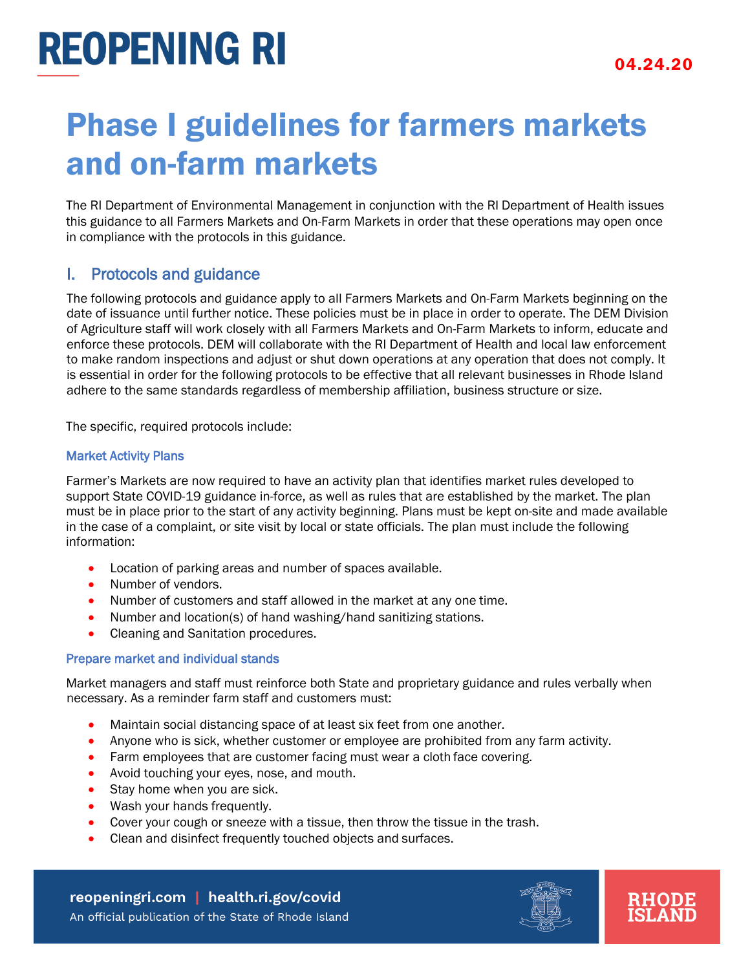# **REOPENING RI**

### Phase I guidelines for farmers markets and on-farm markets

The RI Department of Environmental Management in conjunction with the RI Department of Health issues this guidance to all Farmers Markets and On-Farm Markets in order that these operations may open once in compliance with the protocols in this guidance.

### I. Protocols and guidance

The following protocols and guidance apply to all Farmers Markets and On-Farm Markets beginning on the date of issuance until further notice. These policies must be in place in order to operate. The DEM Division of Agriculture staff will work closely with all Farmers Markets and On-Farm Markets to inform, educate and enforce these protocols. DEM will collaborate with the RI Department of Health and local law enforcement to make random inspections and adjust or shut down operations at any operation that does not comply. It is essential in order for the following protocols to be effective that all relevant businesses in Rhode Island adhere to the same standards regardless of membership affiliation, business structure or size.

The specific, required protocols include:

#### Market Activity Plans

Farmer's Markets are now required to have an activity plan that identifies market rules developed to support State COVID-19 guidance in-force, as well as rules that are established by the market. The plan must be in place prior to the start of any activity beginning. Plans must be kept on-site and made available in the case of a complaint, or site visit by local or state officials. The plan must include the following information:

- Location of parking areas and number of spaces available.
- Number of vendors.
- Number of customers and staff allowed in the market at any one time.
- Number and location(s) of hand washing/hand sanitizing stations.
- Cleaning and Sanitation procedures.

#### Prepare market and individual stands

Market managers and staff must reinforce both State and proprietary guidance and rules verbally when necessary. As a reminder farm staff and customers must:

- Maintain social distancing space of at least six feet from one another.
- Anyone who is sick, whether customer or employee are prohibited from any farm activity.
- Farm employees that are customer facing must wear a cloth face covering.
- Avoid touching your eyes, nose, and mouth.
- Stay home when you are sick.
- Wash your hands frequently.
- Cover your cough or sneeze with a tissue, then throw the tissue in the trash.
- Clean and disinfect frequently touched objects and surfaces.

reopeningri.com | health.ri.gov/covid An official publication of the State of Rhode Island

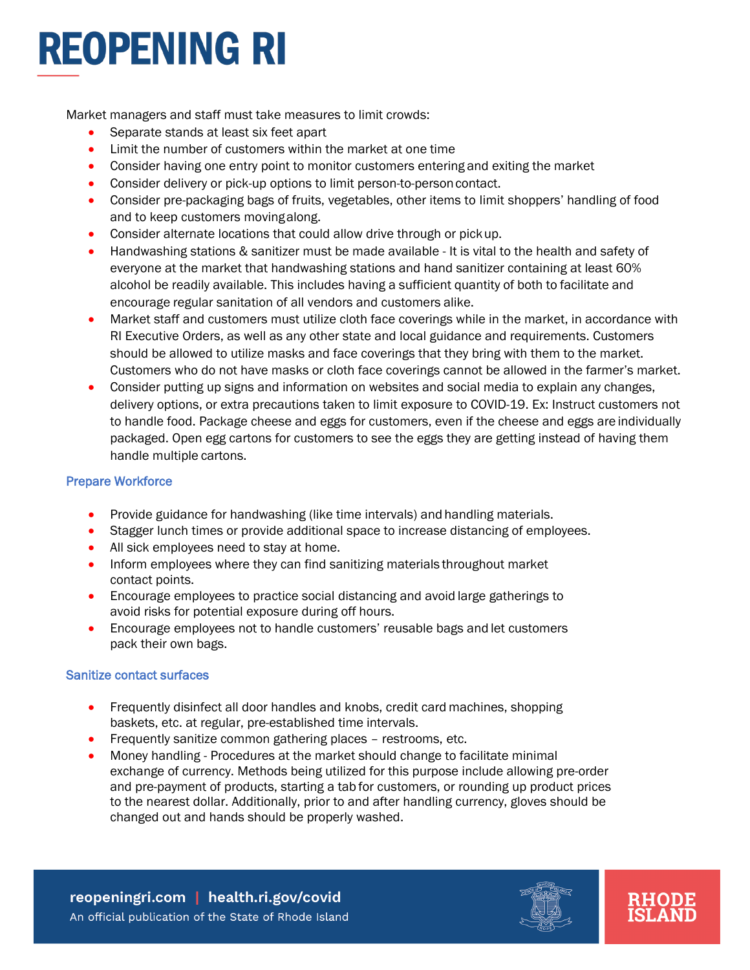# **REOPENING RI**

Market managers and staff must take measures to limit crowds:

- Separate stands at least six feet apart
- Limit the number of customers within the market at one time
- Consider having one entry point to monitor customers entering and exiting the market
- Consider delivery or pick-up options to limit person-to-person contact.
- Consider pre-packaging bags of fruits, vegetables, other items to limit shoppers' handling of food and to keep customers movingalong.
- Consider alternate locations that could allow drive through or pickup.
- Handwashing stations & sanitizer must be made available It is vital to the health and safety of everyone at the market that handwashing stations and hand sanitizer containing at least 60% alcohol be readily available. This includes having a sufficient quantity of both to facilitate and encourage regular sanitation of all vendors and customers alike.
- Market staff and customers must utilize cloth face coverings while in the market, in accordance with RI Executive Orders, as well as any other state and local guidance and requirements. Customers should be allowed to utilize masks and face coverings that they bring with them to the market. Customers who do not have masks or cloth face coverings cannot be allowed in the farmer's market.
- Consider putting up signs and information on websites and social media to explain any changes, delivery options, or extra precautions taken to limit exposure to COVID-19. Ex: Instruct customers not to handle food. Package cheese and eggs for customers, even if the cheese and eggs are individually packaged. Open egg cartons for customers to see the eggs they are getting instead of having them handle multiple cartons.

### Prepare Workforce

- Provide guidance for handwashing (like time intervals) and handling materials.
- Stagger lunch times or provide additional space to increase distancing of employees.
- All sick employees need to stay at home.
- Inform employees where they can find sanitizing materials throughout market contact points.
- Encourage employees to practice social distancing and avoid large gatherings to avoid risks for potential exposure during off hours.
- Encourage employees not to handle customers' reusable bags and let customers pack their own bags.

#### Sanitize [contact surfaces](https://www.agriculture.pa.gov/consumer_protection/FoodSafety/Retail%20Food/Pages/default.aspx)

- Frequently disinfect all door handles and knobs, credit card machines, shopping baskets, etc. at regular, pre-established time intervals.
- Frequently sanitize common gathering places restrooms, etc.
- Money handling Procedures at the market should change to facilitate minimal exchange of currency. Methods being utilized for this purpose include allowing pre-order and pre-payment of products, starting a tab for customers, or rounding up product prices to the nearest dollar. Additionally, prior to and after handling currency, gloves should be changed out and hands should be properly washed.